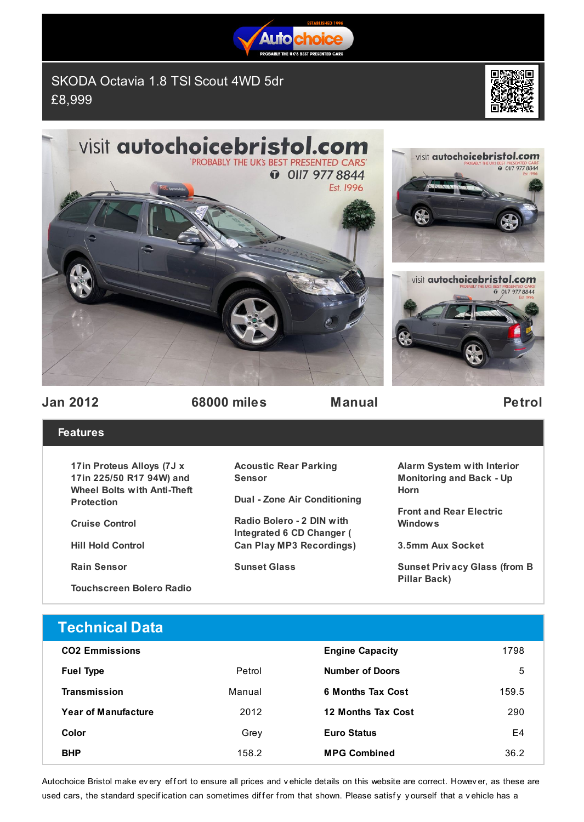

SKODA Octavia 1.8 TSI Scout 4WD 5dr £8,999



**D** OIIT 977 8844





visit autochoicebristol.com

**Jan 2012 68000 miles Manual Petrol**

## **Features**

**17in Proteus Alloys (7J x 17in 225/50 R17 94W) and Wheel Bolts with Anti-Theft Protection**

**Cruise Control**

**Hill Hold Control**

**Rain Sensor**

**Touchscreen Bolero Radio**

## **Acoustic Rear Parking Sensor**

**Dual - Zone Air Conditioning**

**Radio Bolero - 2 DIN with Integrated 6 CD Changer ( Can Play MP3 Recordings)**

**Sunset Glass**

**Alarm System with Interior Monitoring and Back - Up Horn**

**Front and Rear Electric Windows**

**3.5mm Aux Socket**

**Sunset Priv acy Glass (from B Pillar Back)**

## **Technical Data**

| <b>CO2 Emmissions</b>      |        | <b>Engine Capacity</b>   | 1798  |
|----------------------------|--------|--------------------------|-------|
| <b>Fuel Type</b>           | Petrol | <b>Number of Doors</b>   | 5     |
| Transmission               | Manual | <b>6 Months Tax Cost</b> | 159.5 |
| <b>Year of Manufacture</b> | 2012   | 12 Months Tax Cost       | 290   |
| Color                      | Grey   | <b>Euro Status</b>       | E4    |
| <b>BHP</b>                 | 158.2  | <b>MPG Combined</b>      | 36.2  |

Autochoice Bristol make ev ery effort to ensure all prices and v ehicle details on this website are correct. Howev er, as these are used cars, the standard specification can sometimes differ from that shown. Please satisfy yourself that a vehicle has a